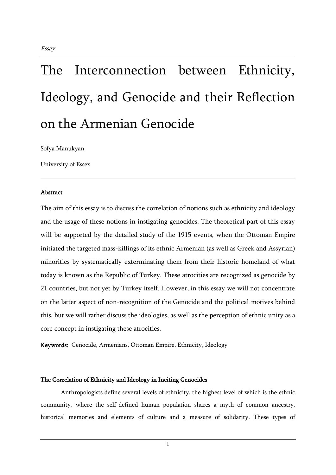Sofya Manukyan

University of Essex

#### Abstract

The aim of this essay is to discuss the correlation of notions such as ethnicity and ideology and the usage of these notions in instigating genocides. The theoretical part of this essay will be supported by the detailed study of the 1915 events, when the Ottoman Empire initiated the targeted mass-killings of its ethnic Armenian (as well as Greek and Assyrian) minorities by systematically exterminating them from their historic homeland of what today is known as the Republic of Turkey. These atrocities are recognized as genocide by 21 countries, but not yet by Turkey itself. However, in this essay we will not concentrate on the latter aspect of non-recognition of the Genocide and the political motives behind this, but we will rather discuss the ideologies, as well as the perception of ethnic unity as a core concept in instigating these atrocities.

Keywords: Genocide, Armenians, Ottoman Empire, Ethnicity, Ideology

#### The Correlation of Ethnicity and Ideology in Inciting Genocides

Anthropologists define several levels of ethnicity, the highest level of which is the ethnic community, where the self-defined human population shares a myth of common ancestry, historical memories and elements of culture and a measure of solidarity. These types of

1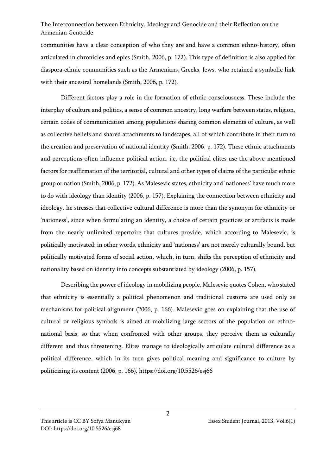communities have a clear conception of who they are and have a common ethno-history, often articulated in chronicles and epics (Smith, 2006, p. 172). This type of definition is also applied for diaspora ethnic communities such as the Armenians, Greeks, Jews, who retained a symbolic link with their ancestral homelands (Smith, 2006, p. 172).

Different factors play a role in the formation of ethnic consciousness. These include the interplay of culture and politics, a sense of common ancestry, long warfare between states, religion, certain codes of communication among populations sharing common elements of culture, as well as collective beliefs and shared attachments to landscapes, all of which contribute in their turn to the creation and preservation of national identity (Smith, 2006, p. 172). These ethnic attachments and perceptions often influence political action, i.e. the political elites use the above-mentioned factors for reaffirmation of the territorial, cultural and other types of claims of the particular ethnic group or nation (Smith, 2006, p. 172). As Malesevic states, ethnicity and 'nationess' have much more to do with ideology than identity (2006, p. 157). Explaining the connection between ethnicity and ideology, he stresses that collective cultural difference is more than the synonym for ethnicity or 'nationess', since when formulating an identity, a choice of certain practices or artifacts is made from the nearly unlimited repertoire that cultures provide, which according to Malesevic, is politically motivated: in other words, ethnicity and 'nationess' are not merely culturally bound, but politically motivated forms of social action, which, in turn, shifts the perception of ethnicity and nationality based on identity into concepts substantiated by ideology (2006, p. 157).

Describing the power of ideology in mobilizing people, Malesevic quotes Cohen, who stated that ethnicity is essentially a political phenomenon and traditional customs are used only as mechanisms for political alignment (2006, p. 166). Malesevic goes on explaining that the use of cultural or religious symbols is aimed at mobilizing large sectors of the population on ethnonational basis, so that when confronted with other groups, they perceive them as culturally different and thus threatening. Elites manage to ideologically articulate cultural difference as a political difference, which in its turn gives political meaning and significance to culture by politicizing its content (2006, p. 166). https://doi.org/10.5526/esj66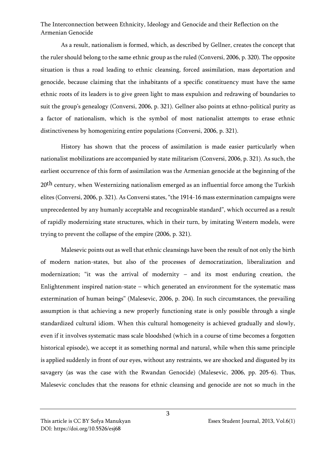As a result, nationalism is formed, which, as described by Gellner, creates the concept that the ruler should belong to the same ethnic group as the ruled (Conversi, 2006, p. 320). The opposite situation is thus a road leading to ethnic cleansing, forced assimilation, mass deportation and genocide, because claiming that the inhabitants of a specific constituency must have the same ethnic roots of its leaders is to give green light to mass expulsion and redrawing of boundaries to suit the group's genealogy (Conversi, 2006, p. 321). Gellner also points at ethno-political purity as a factor of nationalism, which is the symbol of most nationalist attempts to erase ethnic distinctiveness by homogenizing entire populations (Conversi, 2006, p. 321).

History has shown that the process of assimilation is made easier particularly when nationalist mobilizations are accompanied by state militarism (Conversi, 2006, p. 321). As such, the earliest occurrence of this form of assimilation was the Armenian genocide at the beginning of the 20<sup>th</sup> century, when Westernizing nationalism emerged as an influential force among the Turkish elites (Conversi, 2006, p. 321). As Conversi states, "the 1914-16 mass extermination campaigns were unprecedented by any humanly acceptable and recognizable standard", which occurred as a result of rapidly modernizing state structures, which in their turn, by imitating Western models, were trying to prevent the collapse of the empire (2006, p. 321).

Malesevic points out as well that ethnic cleansings have been the result of not only the birth of modern nation-states, but also of the processes of democratization, liberalization and modernization; "it was the arrival of modernity – and its most enduring creation, the Enlightenment inspired nation-state – which generated an environment for the systematic mass extermination of human beings" (Malesevic, 2006, p. 204). In such circumstances, the prevailing assumption is that achieving a new properly functioning state is only possible through a single standardized cultural idiom. When this cultural homogeneity is achieved gradually and slowly, even if it involves systematic mass scale bloodshed (which in a course of time becomes a forgotten historical episode), we accept it as something normal and natural, while when this same principle is applied suddenly in front of our eyes, without any restraints, we are shocked and disgusted by its savagery (as was the case with the Rwandan Genocide) (Malesevic, 2006, pp. 205-6). Thus, Malesevic concludes that the reasons for ethnic cleansing and genocide are not so much in the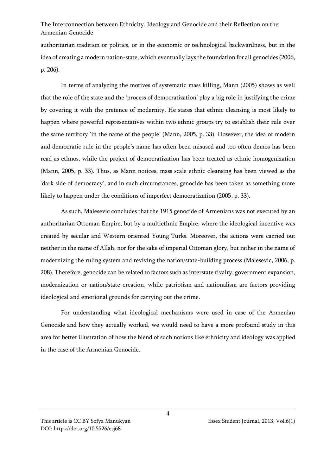authoritarian tradition or politics, or in the economic or technological backwardness, but in the idea of creating a modern nation-state, which eventually lays the foundation for all genocides (2006, p. 206).

In terms of analyzing the motives of systematic mass killing, Mann (2005) shows as well that the role of the state and the 'process of democratization' play a big role in justifying the crime by covering it with the pretence of modernity. He states that ethnic cleansing is most likely to happen where powerful representatives within two ethnic groups try to establish their rule over the same territory 'in the name of the people' (Mann, 2005, p. 33). However, the idea of modern and democratic rule in the people's name has often been misused and too often demos has been read as ethnos, while the project of democratization has been treated as ethnic homogenization (Mann, 2005, p. 33). Thus, as Mann notices, mass scale ethnic cleansing has been viewed as the 'dark side of democracy', and in such circumstances, genocide has been taken as something more likely to happen under the conditions of imperfect democratization (2005, p. 33).

As such, Malesevic concludes that the 1915 genocide of Armenians was not executed by an authoritarian Ottoman Empire, but by a multiethnic Empire, where the ideological incentive was created by secular and Western oriented Young Turks. Moreover, the actions were carried out neither in the name of Allah, nor for the sake of imperial Ottoman glory, but rather in the name of modernizing the ruling system and reviving the nation/state-building process (Malesevic, 2006, p. 208). Therefore, genocide can be related to factors such as interstate rivalry, government expansion, modernization or nation/state creation, while patriotism and nationalism are factors providing ideological and emotional grounds for carrying out the crime.

For understanding what ideological mechanisms were used in case of the Armenian Genocide and how they actually worked, we would need to have a more profound study in this area for better illustration of how the blend of such notions like ethnicity and ideology was applied in the case of the Armenian Genocide.

4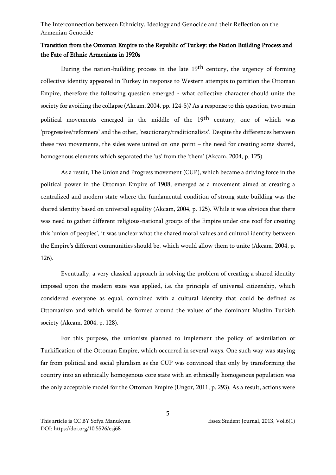## Transition from the Ottoman Empire to the Republic of Turkey: the Nation Building Process and the Fate of Ethnic Armenians in 1920s

During the nation-building process in the late 19<sup>th</sup> century, the urgency of forming collective identity appeared in Turkey in response to Western attempts to partition the Ottoman Empire, therefore the following question emerged - what collective character should unite the society for avoiding the collapse (Akcam, 2004, pp. 124-5)? As a response to this question, two main political movements emerged in the middle of the 19<sup>th</sup> century, one of which was 'progressive/reformers' and the other, 'reactionary/traditionalists'. Despite the differences between these two movements, the sides were united on one point – the need for creating some shared, homogenous elements which separated the 'us' from the 'them' (Akcam, 2004, p. 125).

As a result, The Union and Progress movement (CUP), which became a driving force in the political power in the Ottoman Empire of 1908, emerged as a movement aimed at creating a centralized and modern state where the fundamental condition of strong state building was the shared identity based on universal equality (Akcam, 2004, p. 125). While it was obvious that there was need to gather different religious-national groups of the Empire under one roof for creating this 'union of peoples', it was unclear what the shared moral values and cultural identity between the Empire's different communities should be, which would allow them to unite (Akcam, 2004, p. 126).

Eventually, a very classical approach in solving the problem of creating a shared identity imposed upon the modern state was applied, i.e. the principle of universal citizenship, which considered everyone as equal, combined with a cultural identity that could be defined as Ottomanism and which would be formed around the values of the dominant Muslim Turkish society (Akcam, 2004, p. 128).

For this purpose, the unionists planned to implement the policy of assimilation or Turkification of the Ottoman Empire, which occurred in several ways. One such way was staying far from political and social pluralism as the CUP was convinced that only by transforming the country into an ethnically homogenous core state with an ethnically homogenous population was the only acceptable model for the Ottoman Empire (Ungor, 2011, p. 293). As a result, actions were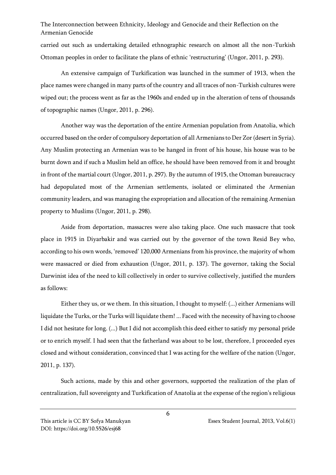carried out such as undertaking detailed ethnographic research on almost all the non-Turkish Ottoman peoples in order to facilitate the plans of ethnic 'restructuring' (Ungor, 2011, p. 293).

An extensive campaign of Turkification was launched in the summer of 1913, when the place names were changed in many parts of the country and all traces of non-Turkish cultures were wiped out; the process went as far as the 1960s and ended up in the alteration of tens of thousands of topographic names (Ungor, 2011, p. 296).

Another way was the deportation of the entire Armenian population from Anatolia, which occurred based on the order of compulsory deportation of all Armenians to Der Zor (desert in Syria). Any Muslim protecting an Armenian was to be hanged in front of his house, his house was to be burnt down and if such a Muslim held an office, he should have been removed from it and brought in front of the martial court (Ungor, 2011, p. 297). By the autumn of 1915, the Ottoman bureaucracy had depopulated most of the Armenian settlements, isolated or eliminated the Armenian community leaders, and was managing the expropriation and allocation of the remaining Armenian property to Muslims (Ungor, 2011, p. 298).

Aside from deportation, massacres were also taking place. One such massacre that took place in 1915 in Diyarbakir and was carried out by the governor of the town Resid Bey who, according to his own words, 'removed' 120,000 Armenians from his province, the majority of whom were massacred or died from exhaustion (Ungor, 2011, p. 137). The governor, taking the Social Darwinist idea of the need to kill collectively in order to survive collectively, justified the murders as follows:

Either they us, or we them. In this situation, I thought to myself: (...) either Armenians will liquidate the Turks, or the Turks will liquidate them! ... Faced with the necessity of having to choose I did not hesitate for long. (...) But I did not accomplish this deed either to satisfy my personal pride or to enrich myself. I had seen that the fatherland was about to be lost, therefore, I proceeded eyes closed and without consideration, convinced that I was acting for the welfare of the nation (Ungor, 2011, p. 137).

Such actions, made by this and other governors, supported the realization of the plan of centralization, full sovereignty and Turkification of Anatolia at the expense of the region's religious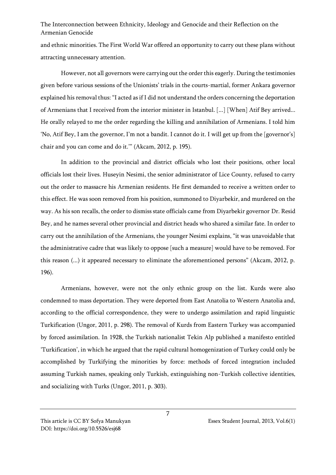and ethnic minorities. The First World War offered an opportunity to carry out these plans without attracting unnecessary attention.

However, not all governors were carrying out the order this eagerly. During the testimonies given before various sessions of the Unionists' trials in the courts-martial, former Ankara governor explained his removal thus: "I acted as if I did not understand the orders concerning the deportation of Armenians that I received from the interior minister in Istanbul. [...] [When] Atif Bey arrived... He orally relayed to me the order regarding the killing and annihilation of Armenians. I told him 'No, Atif Bey, I am the governor, I'm not a bandit. I cannot do it. I will get up from the [governor's] chair and you can come and do it.'" (Akcam, 2012, p. 195).

In addition to the provincial and district officials who lost their positions, other local officials lost their lives. Huseyin Nesimi, the senior administrator of Lice County, refused to carry out the order to massacre his Armenian residents. He first demanded to receive a written order to this effect. He was soon removed from his position, summoned to Diyarbekir, and murdered on the way. As his son recalls, the order to dismiss state officials came from Diyarbekir governor Dr. Resid Bey, and he names several other provincial and district heads who shared a similar fate. In order to carry out the annihilation of the Armenians, the younger Nesimi explains, "it was unavoidable that the administrative cadre that was likely to oppose [such a measure] would have to be removed. For this reason (...) it appeared necessary to eliminate the aforementioned persons" (Akcam, 2012, p. 196).

Armenians, however, were not the only ethnic group on the list. Kurds were also condemned to mass deportation. They were deported from East Anatolia to Western Anatolia and, according to the official correspondence, they were to undergo assimilation and rapid linguistic Turkification (Ungor, 2011, p. 298). The removal of Kurds from Eastern Turkey was accompanied by forced assimilation. In 1928, the Turkish nationalist Tekin Alp published a manifesto entitled 'Turkification', in which he argued that the rapid cultural homogenization of Turkey could only be accomplished by Turkifying the minorities by force: methods of forced integration included assuming Turkish names, speaking only Turkish, extinguishing non-Turkish collective identities, and socializing with Turks (Ungor, 2011, p. 303).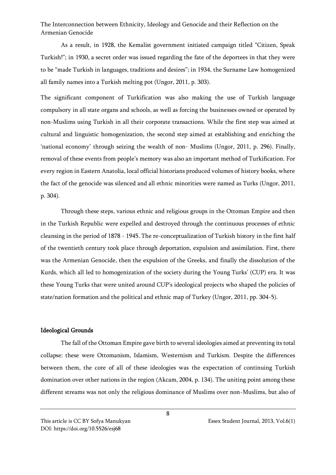As a result, in 1928, the Kemalist government initiated campaign titled "Citizen, Speak Turkish!"; in 1930, a secret order was issued regarding the fate of the deportees in that they were to be "made Turkish in languages, traditions and desires"; in 1934, the Surname Law homogenized all family names into a Turkish melting pot (Ungor, 2011, p. 303).

The significant component of Turkification was also making the use of Turkish language compulsory in all state organs and schools, as well as forcing the businesses owned or operated by non-Muslims using Turkish in all their corporate transactions. While the first step was aimed at cultural and linguistic homogenization, the second step aimed at establishing and enriching the 'national economy' through seizing the wealth of non- Muslims (Ungor, 2011, p. 296). Finally, removal of these events from people's memory was also an important method of Turkification. For every region in Eastern Anatolia, local official historians produced volumes of history books, where the fact of the genocide was silenced and all ethnic minorities were named as Turks (Ungor, 2011, p. 304).

Through these steps, various ethnic and religious groups in the Ottoman Empire and then in the Turkish Republic were expelled and destroyed through the continuous processes of ethnic cleansing in the period of 1878 - 1945. The re-conceptualization of Turkish history in the first half of the twentieth century took place through deportation, expulsion and assimilation. First, there was the Armenian Genocide, then the expulsion of the Greeks, and finally the dissolution of the Kurds, which all led to homogenization of the society during the Young Turks' (CUP) era. It was these Young Turks that were united around CUP's ideological projects who shaped the policies of state/nation formation and the political and ethnic map of Turkey (Ungor, 2011, pp. 304-5).

#### Ideological Grounds

The fall of the Ottoman Empire gave birth to several ideologies aimed at preventing its total collapse: these were Ottomanism, Islamism, Westernism and Turkism. Despite the differences between them, the core of all of these ideologies was the expectation of continuing Turkish domination over other nations in the region (Akcam, 2004, p. 134). The uniting point among these different streams was not only the religious dominance of Muslims over non-Muslims, but also of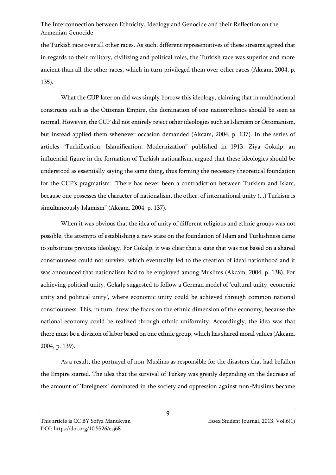the Turkish race over all other races. As such, different representatives of these streams agreed that in regards to their military, civilizing and political roles, the Turkish race was superior and more ancient than all the other races, which in turn privileged them over other races (Akcam, 2004, p. 135).

What the CUP later on did was simply borrow this ideology, claiming that in multinational constructs such as the Ottoman Empire, the domination of one nation/ethnos should be seen as normal. However, the CUP did not entirely reject other ideologies such as Islamism or Ottomanism, but instead applied them whenever occasion demanded (Akcam, 2004, p. 137). In the series of articles "Turkification, Islamification, Modernization" published in 1913, Ziya Gokalp, an influential figure in the formation of Turkish nationalism, argued that these ideologies should be understood as essentially saying the same thing, thus forming the necessary theoretical foundation for the CUP's pragmatism: "There has never been a contradiction between Turkism and Islam, because one possesses the character of nationalism, the other, of international unity (...) Turkism is simultaneously Islamism" (Akcam, 2004, p. 137).

When it was obvious that the idea of unity of different religious and ethnic groups was not possible, the attempts of establishing a new state on the foundation of Islam and Turkishness came to substitute previous ideology. For Gokalp, it was clear that a state that was not based on a shared consciousness could not survive, which eventually led to the creation of ideal nationhood and it was announced that nationalism had to be employed among Muslims (Akcam, 2004, p. 138). For achieving political unity, Gokalp suggested to follow a German model of 'cultural unity, economic unity and political unity', where economic unity could be achieved through common national consciousness. This, in turn, drew the focus on the ethnic dimension of the economy, because the national economy could be realized through ethnic uniformity: Accordingly, the idea was that there must be a division of labor based on one ethnic group, which has shared moral values (Akcam, 2004, p. 139).

As a result, the portrayal of non-Muslims as responsible for the disasters that had befallen the Empire started. The idea that the survival of Turkey was greatly depending on the decrease of the amount of 'foreigners' dominated in the society and oppression against non-Muslims became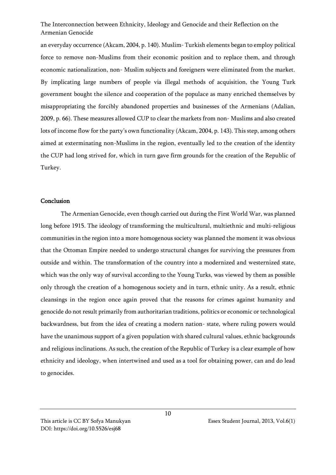an everyday occurrence (Akcam, 2004, p. 140). Muslim- Turkish elements began to employ political force to remove non-Muslims from their economic position and to replace them, and through economic nationalization, non- Muslim subjects and foreigners were eliminated from the market. By implicating large numbers of people via illegal methods of acquisition, the Young Turk government bought the silence and cooperation of the populace as many enriched themselves by misappropriating the forcibly abandoned properties and businesses of the Armenians (Adalian, 2009, p. 66). These measures allowed CUP to clear the markets from non- Muslims and also created lots of income flow for the party's own functionality (Akcam, 2004, p. 143). This step, among others aimed at exterminating non-Muslims in the region, eventually led to the creation of the identity the CUP had long strived for, which in turn gave firm grounds for the creation of the Republic of Turkey.

#### Conclusion

The Armenian Genocide, even though carried out during the First World War, was planned long before 1915. The ideology of transforming the multicultural, multiethnic and multi-religious communities in the region into a more homogenous society was planned the moment it was obvious that the Ottoman Empire needed to undergo structural changes for surviving the pressures from outside and within. The transformation of the country into a modernized and westernized state, which was the only way of survival according to the Young Turks, was viewed by them as possible only through the creation of a homogenous society and in turn, ethnic unity. As a result, ethnic cleansings in the region once again proved that the reasons for crimes against humanity and genocide do not result primarily from authoritarian traditions, politics or economic or technological backwardness, but from the idea of creating a modern nation- state, where ruling powers would have the unanimous support of a given population with shared cultural values, ethnic backgrounds and religious inclinations. As such, the creation of the Republic of Turkey is a clear example of how ethnicity and ideology, when intertwined and used as a tool for obtaining power, can and do lead to genocides.